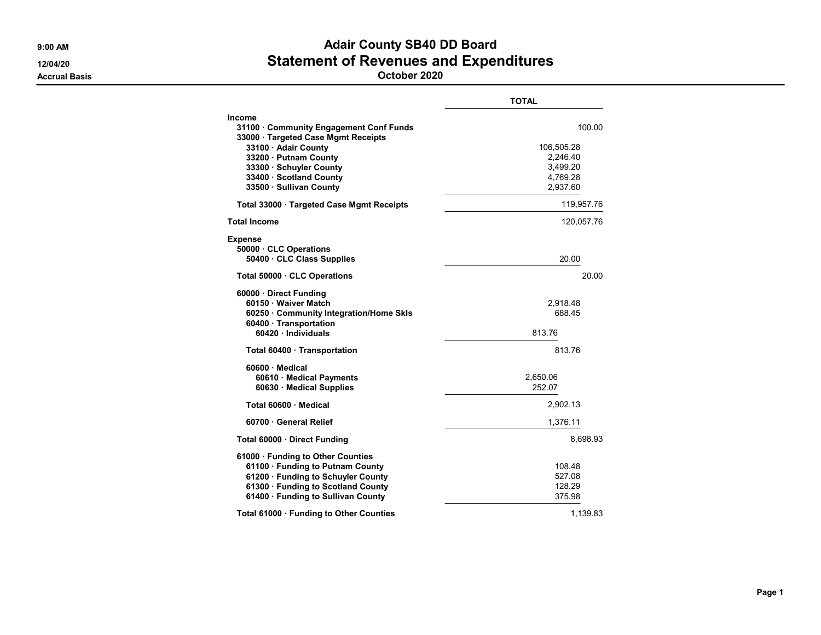TOTAL Income 31100 · Community Engagement Conf Funds 100.00 33000 · Targeted Case Mgmt Receipts **33100 · Adair County 106,505.28 106,505.28** 33200 · Putnam County 2,246.40 **33300 · Schuyler County 3,499.20** 33400 · Scotland County 4,769.28 33500 · Sullivan County Total 33000 · Targeted Case Mgmt Receipts 119,957.76 Total Income 120,057.76 Expense 50000 · CLC Operations 50400 · CLC Class Supplies 20.00 Total 50000 · CLC Operations **20.00 b** 20.00 60000 · Direct Funding 60150 · Waiver Match 2,918.48 60250 · Community Integration/Home Skls 688.45 60400 · Transportation 60420 · Individuals 813.76 Total 60400 · Transportation 813.76 60600 · Medical 60610 · Medical Payments 2,650.06 60630 · Medical Supplies 252.07 Total 60600 · Medical 2,902.13 **60700 · General Relief 1,376.11 1,376.11 Total 60000 · Direct Funding 8,698.93** 61000 · Funding to Other Counties 61100 · Funding to Putnam County<br>61200 · Funding to Schuvler County 61200 · 108.48 61200 · Funding to Schuyler County 61300 · Funding to Scotland County **128.29 128.29** 61400 · Funding to Sullivan County **375.98** Total 61000 · Funding to Other Counties 1,139.83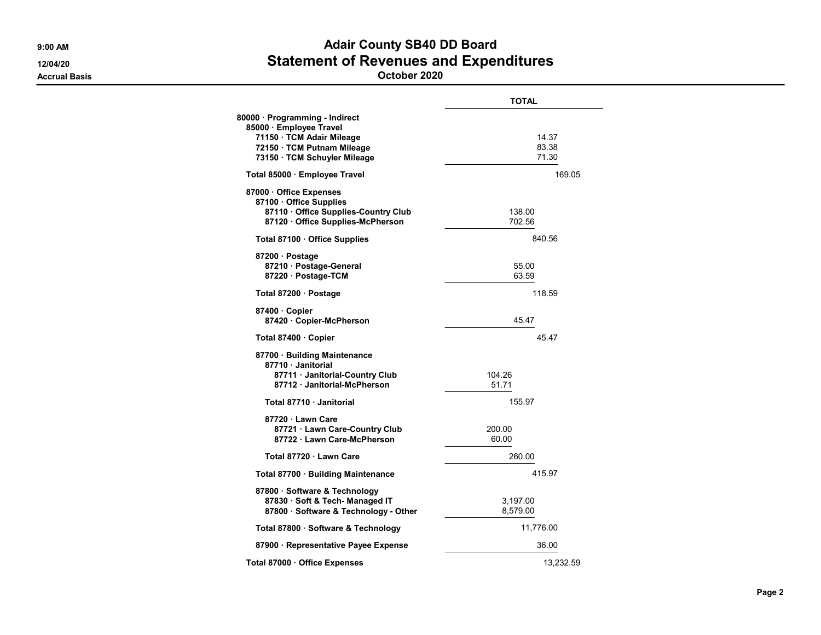|                                                                                                                                                      | <b>TOTAL</b>            |  |
|------------------------------------------------------------------------------------------------------------------------------------------------------|-------------------------|--|
| 80000 · Programming - Indirect<br>85000 · Employee Travel<br>71150 · TCM Adair Mileage<br>72150 · TCM Putnam Mileage<br>73150 · TCM Schuyler Mileage | 14.37<br>83.38<br>71.30 |  |
| Total 85000 · Employee Travel                                                                                                                        | 169.05                  |  |
| 87000 Office Expenses<br>87100 · Office Supplies<br>87110 Office Supplies-Country Club<br>87120 Office Supplies-McPherson                            | 138.00<br>702.56        |  |
| Total 87100 Office Supplies                                                                                                                          | 840.56                  |  |
| 87200 · Postage<br>87210 · Postage-General<br>87220 · Postage-TCM                                                                                    | 55.00<br>63.59          |  |
| Total 87200 · Postage                                                                                                                                | 118.59                  |  |
| 87400 Copier<br>87420 · Copier-McPherson                                                                                                             | 45.47                   |  |
| Total 87400 · Copier                                                                                                                                 | 45.47                   |  |
| 87700 · Building Maintenance<br>87710 Janitorial<br>87711 Janitorial-Country Club<br>87712 · Janitorial-McPherson                                    | 104.26<br>51.71         |  |
| Total 87710 · Janitorial                                                                                                                             | 155.97                  |  |
| 87720 Lawn Care<br>87721 Lawn Care-Country Club<br>87722 · Lawn Care-McPherson                                                                       | 200.00<br>60.00         |  |
| Total 87720 · Lawn Care                                                                                                                              | 260.00                  |  |
| Total 87700 · Building Maintenance                                                                                                                   | 415.97                  |  |
| 87800 · Software & Technology<br>87830 · Soft & Tech- Managed IT<br>87800 · Software & Technology - Other                                            | 3,197.00<br>8,579.00    |  |
| Total 87800 · Software & Technology                                                                                                                  | 11,776.00               |  |
| 87900 · Representative Payee Expense                                                                                                                 | 36.00                   |  |
| Total 87000 · Office Expenses                                                                                                                        | 13,232.59               |  |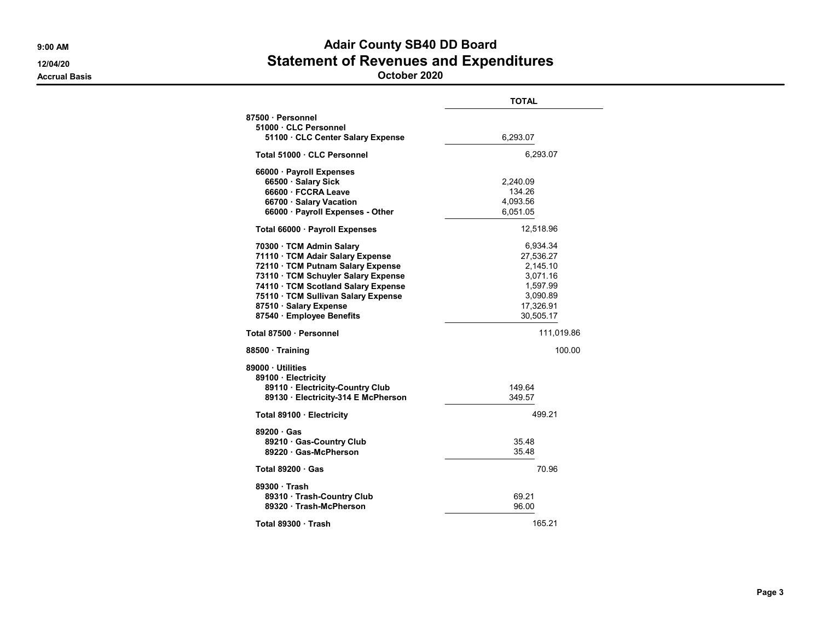TOTAL 87500 · Personnel 51000 · CLC Personnel 51100 · CLC Center Salary Expense 6,293.07 Total 51000 · CLC Personnel 6.293.07 66000 · Payroll Expenses 66500 · Salary Sick 2,240.09 66600 · FCCRA Leave 134.26 66700 · Salary Vacation 4,093.56 66000 · Payroll Expenses - Other 6,051.05 Total 66000 · Payroll Expenses 12,518.96 70300 · TCM Admin Salary 6,934.34 71110 · TCM Adair Salary Expense 27,536.27 72110 · TCM Putnam Salary Expense 2,145.10 73110 · TCM Schuyler Salary Expense 3,071.16 74110 · TCM Scotland Salary Expense 1,597.99 75110 · TCM Sullivan Salary Expense 3,090.89 87510 · Salary Expense 17,326.91 87540 · Employee Benefits 30,505.17 Total 87500 · Personnel 111,019.86 88500 · Training 100.00 89000 · Utilities 89100 · Electricity 89110 · Electricity-Country Club<br>149.64 · Sand Club 149.57<br>149.57 · Sand Club 149.57 89130 · Electricity-314 E McPherson Total 89100 · Electricity **499.21 199.21** 89200 · Gas 89210 · Gas-Country Club 35.48<br>89220 · Gas-McPherson 35.48 89220 · Gas-McPherson  $Total 89200 · Gas$   $70.96$ 89300 · Trash 89310 · Trash-Country Club 69.21 89320 · Trash-McPherson 96.00 Total 89300 · Trash 165.21